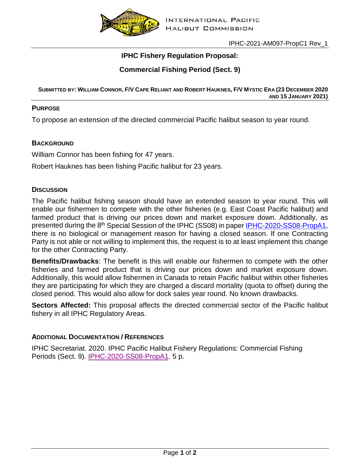

# **IPHC Fishery Regulation Proposal:**

## **Commercial Fishing Period (Sect. 9)**

**SUBMITTED BY: WILLIAM CONNOR, F/V CAPE RELIANT AND ROBERT HAUKNES, F/V MYSTIC ERA (23 DECEMBER 2020 AND 15 JANUARY 2021)**

#### **PURPOSE**

To propose an extension of the directed commercial Pacific halibut season to year round.

## **BACKGROUND**

William Connor has been fishing for 47 years.

Robert Hauknes has been fishing Pacific halibut for 23 years.

## **DISCUSSION**

The Pacific halibut fishing season should have an extended season to year round. This will enable our fishermen to compete with the other fisheries (e.g. East Coast Pacific halibut) and farmed product that is driving our prices down and market exposure down. Additionally, as presented during the 8<sup>th</sup> Special Session of the IPHC (SS08) in paper [IPHC-2020-SS08-PropA1,](https://www.iphc.int/uploads/pdf/sps/ss08/iphc-2020-ss08-propa1.pdf) there is no biological or management reason for having a closed season. If one Contracting Party is not able or not willing to implement this, the request is to at least implement this change for the other Contracting Party.

**Benefits/Drawbacks**: The benefit is this will enable our fishermen to compete with the other fisheries and farmed product that is driving our prices down and market exposure down. Additionally, this would allow fishermen in Canada to retain Pacific halibut within other fisheries they are participating for which they are charged a discard mortality (quota to offset) during the closed period. This would also allow for dock sales year round. No known drawbacks.

**Sectors Affected:** This proposal affects the directed commercial sector of the Pacific halibut fishery in all IPHC Regulatory Areas.

## **ADDITIONAL DOCUMENTATION / REFERENCES**

IPHC Secretariat. 2020. IPHC Pacific Halibut Fishery Regulations: Commercial Fishing Periods (Sect. 9). [IPHC-2020-SS08-PropA1.](https://www.iphc.int/uploads/pdf/sps/ss08/iphc-2020-ss08-propa1.pdf) 5 p.